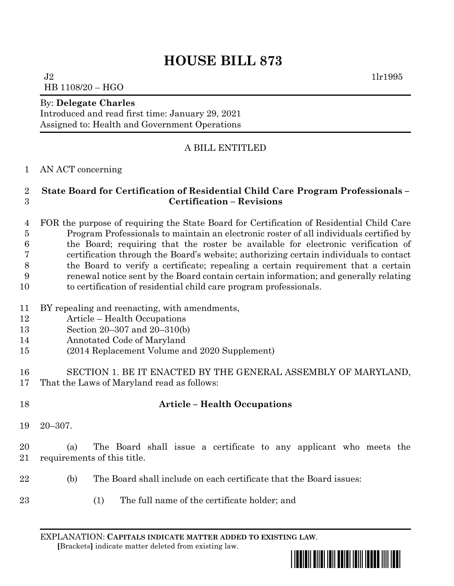# **HOUSE BILL 873**

 $J2$  1lr1995 HB 1108/20 – HGO

#### By: **Delegate Charles**

Introduced and read first time: January 29, 2021 Assigned to: Health and Government Operations

### A BILL ENTITLED

#### AN ACT concerning

#### **State Board for Certification of Residential Child Care Program Professionals – Certification – Revisions**

 FOR the purpose of requiring the State Board for Certification of Residential Child Care Program Professionals to maintain an electronic roster of all individuals certified by the Board; requiring that the roster be available for electronic verification of certification through the Board's website; authorizing certain individuals to contact the Board to verify a certificate; repealing a certain requirement that a certain renewal notice sent by the Board contain certain information; and generally relating to certification of residential child care program professionals.

- BY repealing and reenacting, with amendments,
- Article Health Occupations
- Section 20–307 and 20–310(b)
- Annotated Code of Maryland
- (2014 Replacement Volume and 2020 Supplement)

 SECTION 1. BE IT ENACTED BY THE GENERAL ASSEMBLY OF MARYLAND, That the Laws of Maryland read as follows:

## **Article – Health Occupations**

20–307.

 (a) The Board shall issue a certificate to any applicant who meets the requirements of this title.

- (b) The Board shall include on each certificate that the Board issues:
- (1) The full name of the certificate holder; and

EXPLANATION: **CAPITALS INDICATE MATTER ADDED TO EXISTING LAW**.  **[**Brackets**]** indicate matter deleted from existing law.